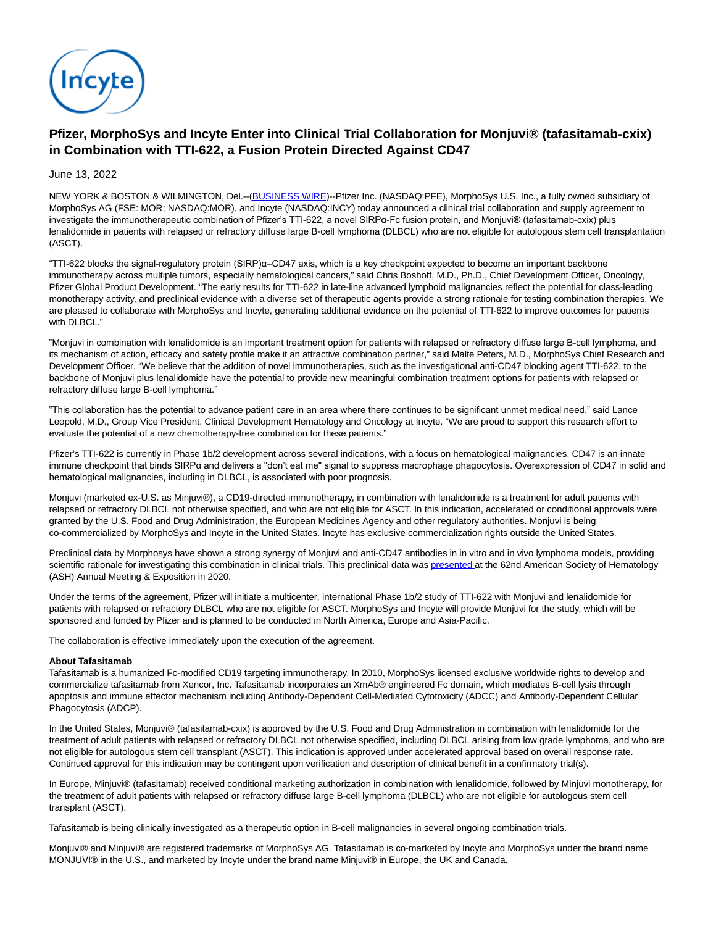

# **Pfizer, MorphoSys and Incyte Enter into Clinical Trial Collaboration for Monjuvi® (tafasitamab-cxix) in Combination with TTI-622, a Fusion Protein Directed Against CD47**

June 13, 2022

NEW YORK & BOSTON & WILMINGTON, Del.--[\(BUSINESS WIRE\)-](https://www.businesswire.com/)-Pfizer Inc. (NASDAQ:PFE), MorphoSys U.S. Inc., a fully owned subsidiary of MorphoSys AG (FSE: MOR; NASDAQ:MOR), and Incyte (NASDAQ:INCY) today announced a clinical trial collaboration and supply agreement to investigate the immunotherapeutic combination of Pfizer's TTI-622, a novel SIRPα-Fc fusion protein, and Monjuvi® (tafasitamab-cxix) plus lenalidomide in patients with relapsed or refractory diffuse large B-cell lymphoma (DLBCL) who are not eligible for autologous stem cell transplantation (ASCT).

"TTI-622 blocks the signal-regulatory protein (SIRP)α–CD47 axis, which is a key checkpoint expected to become an important backbone immunotherapy across multiple tumors, especially hematological cancers," said Chris Boshoff, M.D., Ph.D., Chief Development Officer, Oncology, Pfizer Global Product Development. "The early results for TTI-622 in late-line advanced lymphoid malignancies reflect the potential for class-leading monotherapy activity, and preclinical evidence with a diverse set of therapeutic agents provide a strong rationale for testing combination therapies. We are pleased to collaborate with MorphoSys and Incyte, generating additional evidence on the potential of TTI-622 to improve outcomes for patients with DLBCL."

"Monjuvi in combination with lenalidomide is an important treatment option for patients with relapsed or refractory diffuse large B-cell lymphoma, and its mechanism of action, efficacy and safety profile make it an attractive combination partner," said Malte Peters, M.D., MorphoSys Chief Research and Development Officer. "We believe that the addition of novel immunotherapies, such as the investigational anti-CD47 blocking agent TTI-622, to the backbone of Monjuvi plus lenalidomide have the potential to provide new meaningful combination treatment options for patients with relapsed or refractory diffuse large B-cell lymphoma."

"This collaboration has the potential to advance patient care in an area where there continues to be significant unmet medical need," said Lance Leopold, M.D., Group Vice President, Clinical Development Hematology and Oncology at Incyte. "We are proud to support this research effort to evaluate the potential of a new chemotherapy-free combination for these patients."

Pfizer's TTI-622 is currently in Phase 1b/2 development across several indications, with a focus on hematological malignancies. CD47 is an innate immune checkpoint that binds SIRPα and delivers a "don't eat me" signal to suppress macrophage phagocytosis. Overexpression of CD47 in solid and hematological malignancies, including in DLBCL, is associated with poor prognosis.

Monjuvi (marketed ex-U.S. as Minjuvi®), a CD19-directed immunotherapy, in combination with lenalidomide is a treatment for adult patients with relapsed or refractory DLBCL not otherwise specified, and who are not eligible for ASCT. In this indication, accelerated or conditional approvals were granted by the U.S. Food and Drug Administration, the European Medicines Agency and other regulatory authorities. Monjuvi is being co-commercialized by MorphoSys and Incyte in the United States. Incyte has exclusive commercialization rights outside the United States.

Preclinical data by Morphosys have shown a strong synergy of Monjuvi and anti-CD47 antibodies in in vitro and in vivo lymphoma models, providing scientific rationale for investigating this combination in clinical trials. This preclinical data was [presented a](https://cts.businesswire.com/ct/CT?id=smartlink&url=https%3A%2F%2Furldefense.com%2Fv3%2F__https%3A%2Fash.confex.com%2Fash%2F2020%2Fwebprogram%2FPaper139582.html__%3B%21%21H9nueQsQ%218300NUwcKhikicL4z-_ZYqUObwdMGbSg7fRR23e4K14vOrev9bMTioejsrrIO7bU6Q-kSlzr1ku9UWx7TOopbXQ1J8Tf8Atr%24&esheet=52747966&newsitemid=20220613005549&lan=en-US&anchor=presented&index=1&md5=b5ed43d18570467c7239129c44f0461f)t the 62nd American Society of Hematology (ASH) Annual Meeting & Exposition in 2020.

Under the terms of the agreement, Pfizer will initiate a multicenter, international Phase 1b/2 study of TTI-622 with Monjuvi and lenalidomide for patients with relapsed or refractory DLBCL who are not eligible for ASCT. MorphoSys and Incyte will provide Monjuvi for the study, which will be sponsored and funded by Pfizer and is planned to be conducted in North America, Europe and Asia-Pacific.

The collaboration is effective immediately upon the execution of the agreement.

# **About Tafasitamab**

Tafasitamab is a humanized Fc-modified CD19 targeting immunotherapy. In 2010, MorphoSys licensed exclusive worldwide rights to develop and commercialize tafasitamab from Xencor, Inc. Tafasitamab incorporates an XmAb® engineered Fc domain, which mediates B-cell lysis through apoptosis and immune effector mechanism including Antibody-Dependent Cell-Mediated Cytotoxicity (ADCC) and Antibody-Dependent Cellular Phagocytosis (ADCP).

In the United States, Monjuvi® (tafasitamab-cxix) is approved by the U.S. Food and Drug Administration in combination with lenalidomide for the treatment of adult patients with relapsed or refractory DLBCL not otherwise specified, including DLBCL arising from low grade lymphoma, and who are not eligible for autologous stem cell transplant (ASCT). This indication is approved under accelerated approval based on overall response rate. Continued approval for this indication may be contingent upon verification and description of clinical benefit in a confirmatory trial(s).

In Europe, Minjuvi® (tafasitamab) received conditional marketing authorization in combination with lenalidomide, followed by Minjuvi monotherapy, for the treatment of adult patients with relapsed or refractory diffuse large B-cell lymphoma (DLBCL) who are not eligible for autologous stem cell transplant (ASCT).

Tafasitamab is being clinically investigated as a therapeutic option in B-cell malignancies in several ongoing combination trials.

Monjuvi® and Minjuvi® are registered trademarks of MorphoSys AG. Tafasitamab is co-marketed by Incyte and MorphoSys under the brand name MONJUVI® in the U.S., and marketed by Incyte under the brand name Minjuvi® in Europe, the UK and Canada.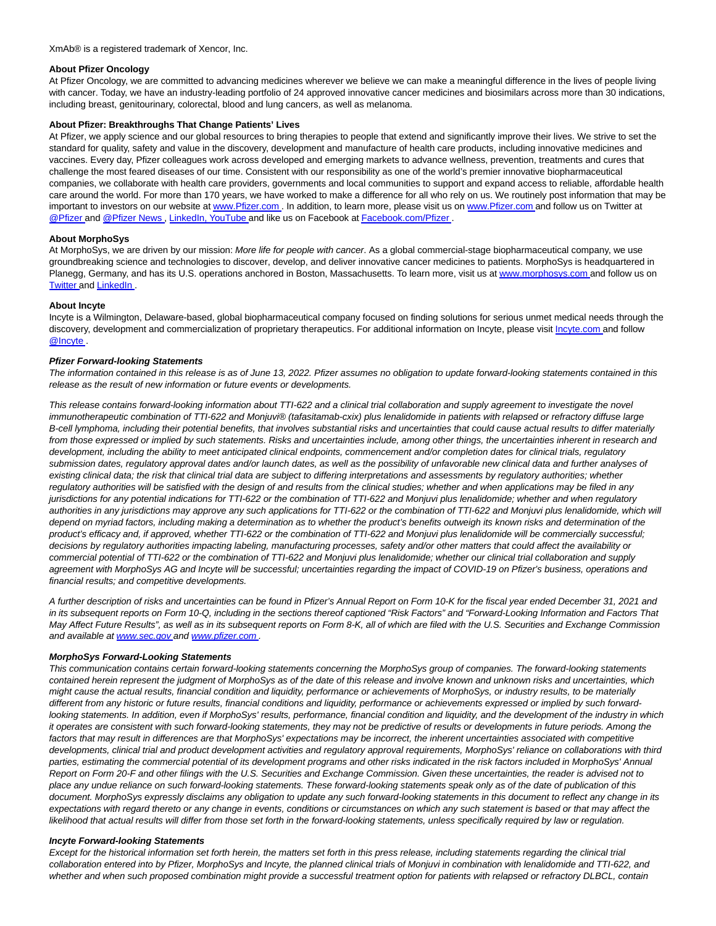## **About Pfizer Oncology**

At Pfizer Oncology, we are committed to advancing medicines wherever we believe we can make a meaningful difference in the lives of people living with cancer. Today, we have an industry-leading portfolio of 24 approved innovative cancer medicines and biosimilars across more than 30 indications, including breast, genitourinary, colorectal, blood and lung cancers, as well as melanoma.

#### **About Pfizer: Breakthroughs That Change Patients' Lives**

At Pfizer, we apply science and our global resources to bring therapies to people that extend and significantly improve their lives. We strive to set the standard for quality, safety and value in the discovery, development and manufacture of health care products, including innovative medicines and vaccines. Every day, Pfizer colleagues work across developed and emerging markets to advance wellness, prevention, treatments and cures that challenge the most feared diseases of our time. Consistent with our responsibility as one of the world's premier innovative biopharmaceutical companies, we collaborate with health care providers, governments and local communities to support and expand access to reliable, affordable health care around the world. For more than 170 years, we have worked to make a difference for all who rely on us. We routinely post information that may be important to investors on our website a[t www.Pfizer.com .](https://cts.businesswire.com/ct/CT?id=smartlink&url=https%3A%2F%2Fwww.pfizer.com%2F&esheet=52747966&newsitemid=20220613005549&lan=en-US&anchor=www.Pfizer.com&index=2&md5=5da44eeaa13a0f3aab1065aab44115a3) In addition, to learn more, please visit us on [www.Pfizer.com a](https://cts.businesswire.com/ct/CT?id=smartlink&url=https%3A%2F%2Fwww.pfizer.com%2F&esheet=52747966&newsitemid=20220613005549&lan=en-US&anchor=www.Pfizer.com&index=3&md5=aee8bc551da13657b350fb4b9da5f349)nd follow us on Twitter at [@Pfizer a](https://cts.businesswire.com/ct/CT?id=smartlink&url=https%3A%2F%2Ftwitter.com%2Fpfizer&esheet=52747966&newsitemid=20220613005549&lan=en-US&anchor=%40Pfizer&index=4&md5=e58cc2e6c5cfd6a2cf5603cbb42f5610)nd @Pfizer News, [LinkedIn,](https://cts.businesswire.com/ct/CT?id=smartlink&url=https%3A%2F%2Fwww.linkedin.com%2Fcompany%2Fpfizer%2F&esheet=52747966&newsitemid=20220613005549&lan=en-US&anchor=LinkedIn%2C&index=6&md5=509fec363e09ab32d99b20a41a6fbb2a) [YouTube a](https://cts.businesswire.com/ct/CT?id=smartlink&url=https%3A%2F%2Fwww.youtube.com%2Fpfizer&esheet=52747966&newsitemid=20220613005549&lan=en-US&anchor=YouTube&index=7&md5=4a61a493f2f006f4ac6804944650b0f8)nd like us on Facebook at Facebook.com/Pfizer.

## **About MorphoSys**

At MorphoSys, we are driven by our mission: More life for people with cancer. As a global commercial-stage biopharmaceutical company, we use groundbreaking science and technologies to discover, develop, and deliver innovative cancer medicines to patients. MorphoSys is headquartered in Planegg, Germany, and has its U.S. operations anchored in Boston, Massachusetts. To learn more, visit us a[t www.morphosys.com a](https://cts.businesswire.com/ct/CT?id=smartlink&url=http%3A%2F%2Fwww.morphosys.com&esheet=52747966&newsitemid=20220613005549&lan=en-US&anchor=www.morphosys.com&index=9&md5=aebdc36d99b1072abf5bd5e153dc2a61)nd follow us on **[Twitter a](https://cts.businesswire.com/ct/CT?id=smartlink&url=https%3A%2F%2Ftwitter.com%2Fmorphosys&esheet=52747966&newsitemid=20220613005549&lan=en-US&anchor=Twitter&index=10&md5=2a12237736e49678bf0362d32da115ef)nd LinkedIn.** 

## **About Incyte**

Incyte is a Wilmington, Delaware-based, global biopharmaceutical company focused on finding solutions for serious unmet medical needs through the discovery, development and commercialization of proprietary therapeutics. For additional information on Incyte, please visi[t Incyte.com a](https://cts.businesswire.com/ct/CT?id=smartlink&url=http%3A%2F%2Fwww.incyte.com&esheet=52747966&newsitemid=20220613005549&lan=en-US&anchor=Incyte.com&index=12&md5=1ef781145aa6b8f808dc00280f96e9a1)nd follow @Incyte

#### **Pfizer Forward-looking Statements**

The information contained in this release is as of June 13, 2022. Pfizer assumes no obligation to update forward-looking statements contained in this release as the result of new information or future events or developments.

This release contains forward-looking information about TTI-622 and a clinical trial collaboration and supply agreement to investigate the novel immunotherapeutic combination of TTI-622 and Monjuvi® (tafasitamab-cxix) plus lenalidomide in patients with relapsed or refractory diffuse large B-cell lymphoma, including their potential benefits, that involves substantial risks and uncertainties that could cause actual results to differ materially from those expressed or implied by such statements. Risks and uncertainties include, among other things, the uncertainties inherent in research and development, including the ability to meet anticipated clinical endpoints, commencement and/or completion dates for clinical trials, regulatory submission dates, regulatory approval dates and/or launch dates, as well as the possibility of unfavorable new clinical data and further analyses of existing clinical data; the risk that clinical trial data are subject to differing interpretations and assessments by regulatory authorities; whether regulatory authorities will be satisfied with the design of and results from the clinical studies; whether and when applications may be filed in any jurisdictions for any potential indications for TTI-622 or the combination of TTI-622 and Monjuvi plus lenalidomide; whether and when regulatory authorities in any jurisdictions may approve any such applications for TTI-622 or the combination of TTI-622 and Monjuvi plus lenalidomide, which will depend on myriad factors, including making a determination as to whether the product's benefits outweigh its known risks and determination of the product's efficacy and, if approved, whether TTI-622 or the combination of TTI-622 and Monjuvi plus lenalidomide will be commercially successful; decisions by regulatory authorities impacting labeling, manufacturing processes, safety and/or other matters that could affect the availability or commercial potential of TTI-622 or the combination of TTI-622 and Monjuvi plus lenalidomide; whether our clinical trial collaboration and supply agreement with MorphoSys AG and Incyte will be successful; uncertainties regarding the impact of COVID-19 on Pfizer's business, operations and financial results; and competitive developments.

A further description of risks and uncertainties can be found in Pfizer's Annual Report on Form 10-K for the fiscal year ended December 31, 2021 and in its subsequent reports on Form 10-Q, including in the sections thereof captioned "Risk Factors" and "Forward-Looking Information and Factors That May Affect Future Results", as well as in its subsequent reports on Form 8-K, all of which are filed with the U.S. Securities and Exchange Commission and available at [www.sec.gov a](https://cts.businesswire.com/ct/CT?id=smartlink&url=http%3A%2F%2Fwww.sec.gov%2F&esheet=52747966&newsitemid=20220613005549&lan=en-US&anchor=www.sec.gov&index=14&md5=0f82db250c1bdc2da5dbb53ce0e24caa)nd www.pfizer.com.

#### **MorphoSys Forward-Looking Statements**

This communication contains certain forward-looking statements concerning the MorphoSys group of companies. The forward-looking statements contained herein represent the judgment of MorphoSys as of the date of this release and involve known and unknown risks and uncertainties, which might cause the actual results, financial condition and liquidity, performance or achievements of MorphoSys, or industry results, to be materially different from any historic or future results, financial conditions and liquidity, performance or achievements expressed or implied by such forwardlooking statements. In addition, even if MorphoSys' results, performance, financial condition and liquidity, and the development of the industry in which it operates are consistent with such forward-looking statements, they may not be predictive of results or developments in future periods. Among the factors that may result in differences are that MorphoSys' expectations may be incorrect, the inherent uncertainties associated with competitive developments, clinical trial and product development activities and regulatory approval requirements, MorphoSys' reliance on collaborations with third parties, estimating the commercial potential of its development programs and other risks indicated in the risk factors included in MorphoSys' Annual Report on Form 20-F and other filings with the U.S. Securities and Exchange Commission. Given these uncertainties, the reader is advised not to place any undue reliance on such forward-looking statements. These forward-looking statements speak only as of the date of publication of this document. MorphoSys expressly disclaims any obligation to update any such forward-looking statements in this document to reflect any change in its expectations with regard thereto or any change in events, conditions or circumstances on which any such statement is based or that may affect the likelihood that actual results will differ from those set forth in the forward-looking statements, unless specifically required by law or regulation.

## **Incyte Forward-looking Statements**

Except for the historical information set forth herein, the matters set forth in this press release, including statements regarding the clinical trial collaboration entered into by Pfizer, MorphoSys and Incyte, the planned clinical trials of Monjuvi in combination with lenalidomide and TTI-622, and whether and when such proposed combination might provide a successful treatment option for patients with relapsed or refractory DLBCL, contain